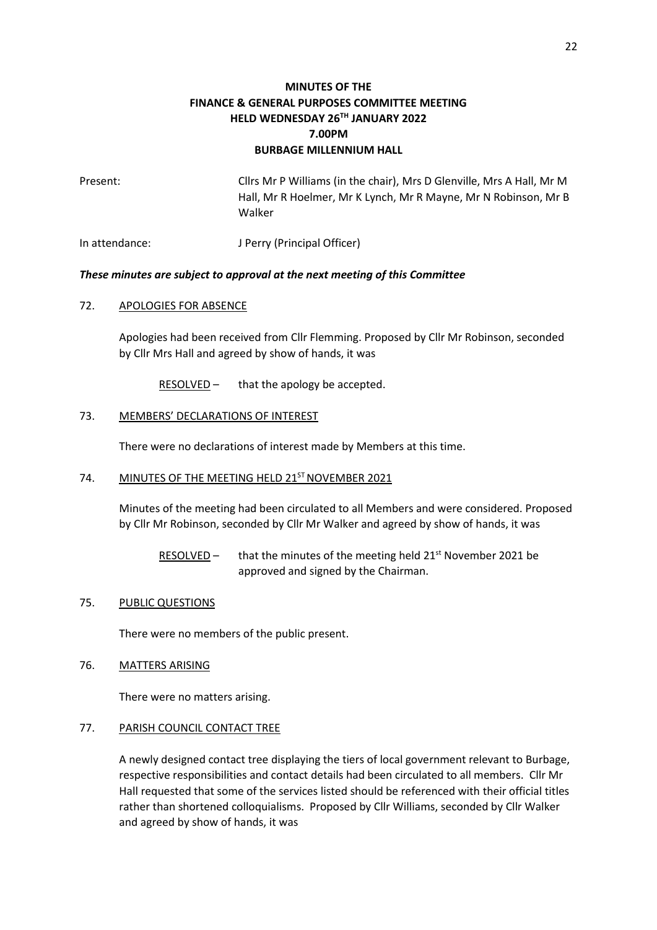# **MINUTES OF THE FINANCE & GENERAL PURPOSES COMMITTEE MEETING HELD WEDNESDAY 26TH JANUARY 2022 7.00PM BURBAGE MILLENNIUM HALL**

| Present: | Cllrs Mr P Williams (in the chair), Mrs D Glenville, Mrs A Hall, Mr M |
|----------|-----------------------------------------------------------------------|
|          | Hall, Mr R Hoelmer, Mr K Lynch, Mr R Mayne, Mr N Robinson, Mr B       |
|          | Walker                                                                |
|          |                                                                       |

In attendance: J Perry (Principal Officer)

# *These minutes are subject to approval at the next meeting of this Committee*

### 72. APOLOGIES FOR ABSENCE

Apologies had been received from Cllr Flemming. Proposed by Cllr Mr Robinson, seconded by Cllr Mrs Hall and agreed by show of hands, it was

RESOLVED – that the apology be accepted.

### 73. MEMBERS' DECLARATIONS OF INTEREST

There were no declarations of interest made by Members at this time.

# 74. MINUTES OF THE MEETING HELD 21<sup>ST</sup> NOVEMBER 2021

Minutes of the meeting had been circulated to all Members and were considered. Proposed by Cllr Mr Robinson, seconded by Cllr Mr Walker and agreed by show of hands, it was

RESOLVED - that the minutes of the meeting held 21<sup>st</sup> November 2021 be approved and signed by the Chairman.

#### 75. PUBLIC QUESTIONS

There were no members of the public present.

76. MATTERS ARISING

There were no matters arising.

#### 77. PARISH COUNCIL CONTACT TREE

A newly designed contact tree displaying the tiers of local government relevant to Burbage, respective responsibilities and contact details had been circulated to all members. Cllr Mr Hall requested that some of the services listed should be referenced with their official titles rather than shortened colloquialisms. Proposed by Cllr Williams, seconded by Cllr Walker and agreed by show of hands, it was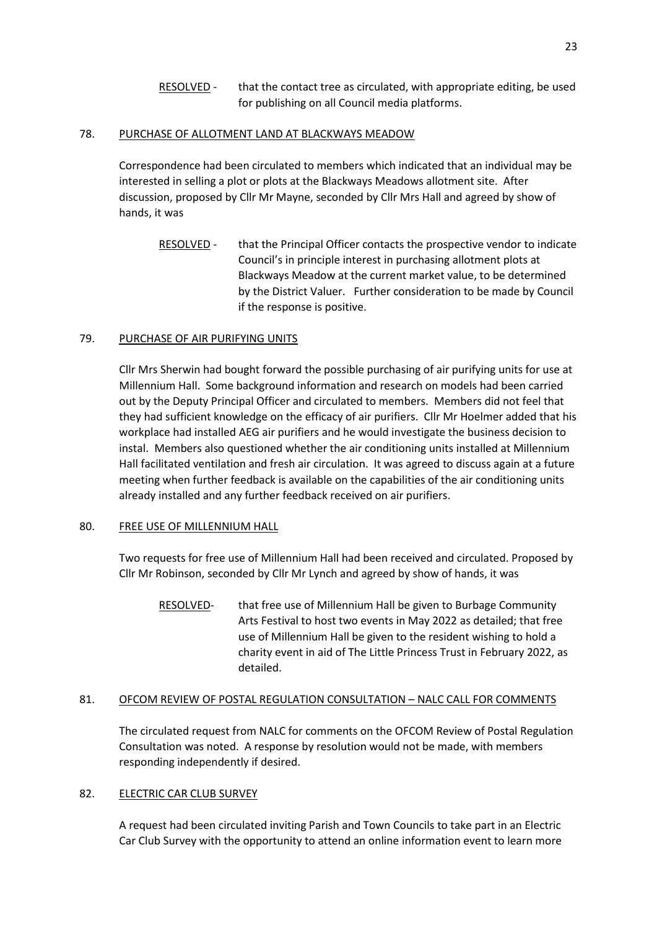RESOLVED - that the contact tree as circulated, with appropriate editing, be used for publishing on all Council media platforms.

# 78. PURCHASE OF ALLOTMENT LAND AT BLACKWAYS MEADOW

Correspondence had been circulated to members which indicated that an individual may be interested in selling a plot or plots at the Blackways Meadows allotment site. After discussion, proposed by Cllr Mr Mayne, seconded by Cllr Mrs Hall and agreed by show of hands, it was

RESOLVED - that the Principal Officer contacts the prospective vendor to indicate Council's in principle interest in purchasing allotment plots at Blackways Meadow at the current market value, to be determined by the District Valuer. Further consideration to be made by Council if the response is positive.

# 79. PURCHASE OF AIR PURIFYING UNITS

Cllr Mrs Sherwin had bought forward the possible purchasing of air purifying units for use at Millennium Hall. Some background information and research on models had been carried out by the Deputy Principal Officer and circulated to members. Members did not feel that they had sufficient knowledge on the efficacy of air purifiers. Cllr Mr Hoelmer added that his workplace had installed AEG air purifiers and he would investigate the business decision to instal. Members also questioned whether the air conditioning units installed at Millennium Hall facilitated ventilation and fresh air circulation. It was agreed to discuss again at a future meeting when further feedback is available on the capabilities of the air conditioning units already installed and any further feedback received on air purifiers.

# 80. FREE USE OF MILLENNIUM HALL

Two requests for free use of Millennium Hall had been received and circulated. Proposed by Cllr Mr Robinson, seconded by Cllr Mr Lynch and agreed by show of hands, it was

RESOLVED- that free use of Millennium Hall be given to Burbage Community Arts Festival to host two events in May 2022 as detailed; that free use of Millennium Hall be given to the resident wishing to hold a charity event in aid of The Little Princess Trust in February 2022, as detailed.

# 81. OFCOM REVIEW OF POSTAL REGULATION CONSULTATION – NALC CALL FOR COMMENTS

The circulated request from NALC for comments on the OFCOM Review of Postal Regulation Consultation was noted. A response by resolution would not be made, with members responding independently if desired.

# 82. ELECTRIC CAR CLUB SURVEY

A request had been circulated inviting Parish and Town Councils to take part in an Electric Car Club Survey with the opportunity to attend an online information event to learn more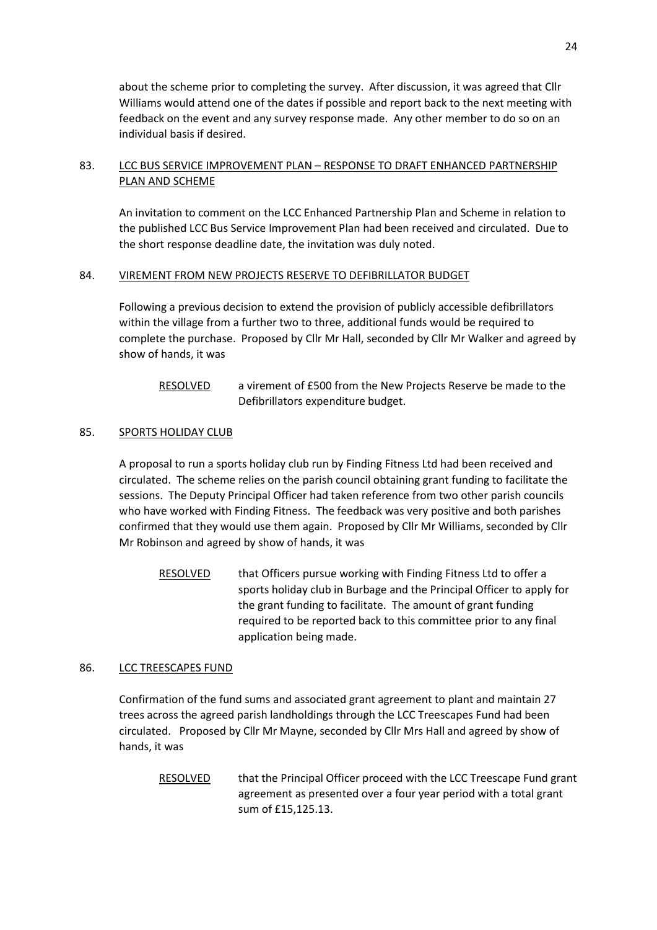about the scheme prior to completing the survey. After discussion, it was agreed that Cllr Williams would attend one of the dates if possible and report back to the next meeting with feedback on the event and any survey response made. Any other member to do so on an individual basis if desired.

# 83. LCC BUS SERVICE IMPROVEMENT PLAN – RESPONSE TO DRAFT ENHANCED PARTNERSHIP PLAN AND SCHEME

An invitation to comment on the LCC Enhanced Partnership Plan and Scheme in relation to the published LCC Bus Service Improvement Plan had been received and circulated. Due to the short response deadline date, the invitation was duly noted.

# 84. VIREMENT FROM NEW PROJECTS RESERVE TO DEFIBRILLATOR BUDGET

Following a previous decision to extend the provision of publicly accessible defibrillators within the village from a further two to three, additional funds would be required to complete the purchase. Proposed by Cllr Mr Hall, seconded by Cllr Mr Walker and agreed by show of hands, it was

# RESOLVED a virement of £500 from the New Projects Reserve be made to the Defibrillators expenditure budget.

# 85. SPORTS HOLIDAY CLUB

A proposal to run a sports holiday club run by Finding Fitness Ltd had been received and circulated. The scheme relies on the parish council obtaining grant funding to facilitate the sessions. The Deputy Principal Officer had taken reference from two other parish councils who have worked with Finding Fitness. The feedback was very positive and both parishes confirmed that they would use them again. Proposed by Cllr Mr Williams, seconded by Cllr Mr Robinson and agreed by show of hands, it was

RESOLVED that Officers pursue working with Finding Fitness Ltd to offer a sports holiday club in Burbage and the Principal Officer to apply for the grant funding to facilitate. The amount of grant funding required to be reported back to this committee prior to any final application being made.

# 86. LCC TREESCAPES FUND

Confirmation of the fund sums and associated grant agreement to plant and maintain 27 trees across the agreed parish landholdings through the LCC Treescapes Fund had been circulated. Proposed by Cllr Mr Mayne, seconded by Cllr Mrs Hall and agreed by show of hands, it was

RESOLVED that the Principal Officer proceed with the LCC Treescape Fund grant agreement as presented over a four year period with a total grant sum of £15,125.13.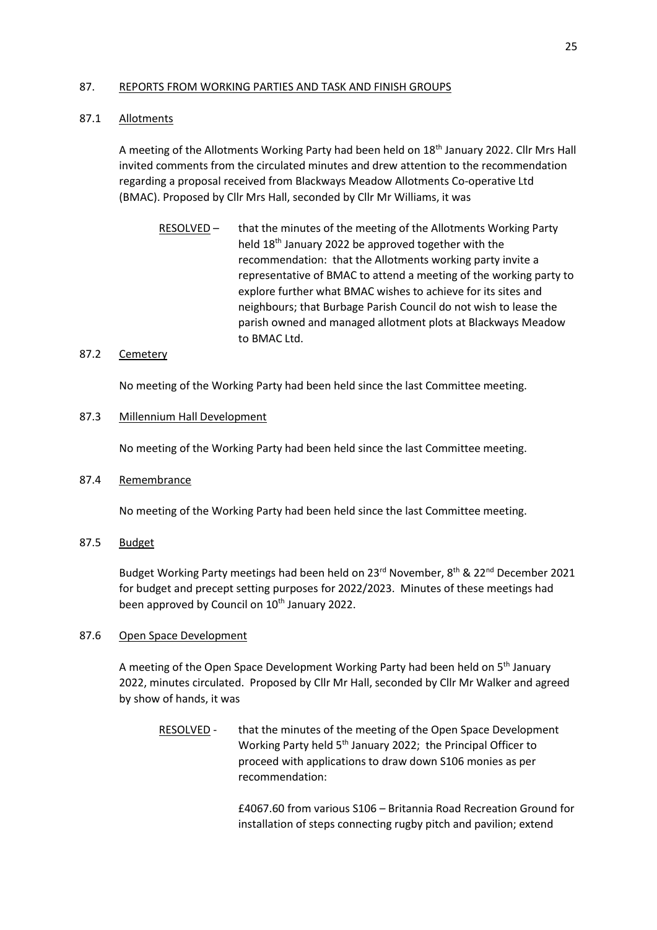### 87. REPORTS FROM WORKING PARTIES AND TASK AND FINISH GROUPS

# 87.1 Allotments

A meeting of the Allotments Working Party had been held on  $18<sup>th</sup>$  January 2022. Cllr Mrs Hall invited comments from the circulated minutes and drew attention to the recommendation regarding a proposal received from Blackways Meadow Allotments Co-operative Ltd (BMAC). Proposed by Cllr Mrs Hall, seconded by Cllr Mr Williams, it was

RESOLVED – that the minutes of the meeting of the Allotments Working Party held 18th January 2022 be approved together with the recommendation: that the Allotments working party invite a representative of BMAC to attend a meeting of the working party to explore further what BMAC wishes to achieve for its sites and neighbours; that Burbage Parish Council do not wish to lease the parish owned and managed allotment plots at Blackways Meadow to BMAC Ltd.

# 87.2 Cemetery

No meeting of the Working Party had been held since the last Committee meeting.

# 87.3 Millennium Hall Development

No meeting of the Working Party had been held since the last Committee meeting.

# 87.4 Remembrance

No meeting of the Working Party had been held since the last Committee meeting.

87.5 Budget

Budget Working Party meetings had been held on 23rd November, 8th & 22nd December 2021 for budget and precept setting purposes for 2022/2023. Minutes of these meetings had been approved by Council on 10<sup>th</sup> January 2022.

# 87.6 Open Space Development

A meeting of the Open Space Development Working Party had been held on 5<sup>th</sup> January 2022, minutes circulated. Proposed by Cllr Mr Hall, seconded by Cllr Mr Walker and agreed by show of hands, it was

RESOLVED - that the minutes of the meeting of the Open Space Development Working Party held 5<sup>th</sup> January 2022; the Principal Officer to proceed with applications to draw down S106 monies as per recommendation:

> £4067.60 from various S106 – Britannia Road Recreation Ground for installation of steps connecting rugby pitch and pavilion; extend